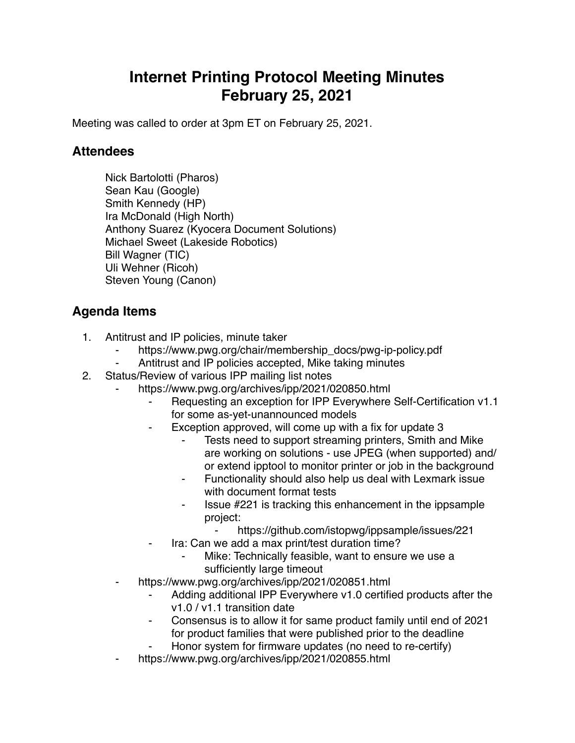## **Internet Printing Protocol Meeting Minutes February 25, 2021**

Meeting was called to order at 3pm ET on February 25, 2021.

## **Attendees**

Nick Bartolotti (Pharos) Sean Kau (Google) Smith Kennedy (HP) Ira McDonald (High North) Anthony Suarez (Kyocera Document Solutions) Michael Sweet (Lakeside Robotics) Bill Wagner (TIC) Uli Wehner (Ricoh) Steven Young (Canon)

## **Agenda Items**

- 1. Antitrust and IP policies, minute taker
	- https://www.pwg.org/chair/membership\_docs/pwg-ip-policy.pdf
	- Antitrust and IP policies accepted, Mike taking minutes
- 2. Status/Review of various IPP mailing list notes
	- https://www.pwg.org/archives/ipp/2021/020850.html
		- Requesting an exception for IPP Everywhere Self-Certification v1.1 for some as-yet-unannounced models
		- Exception approved, will come up with a fix for update 3
			- Tests need to support streaming printers, Smith and Mike are working on solutions - use JPEG (when supported) and/ or extend ipptool to monitor printer or job in the background
			- Functionality should also help us deal with Lexmark issue with document format tests
			- ⁃ Issue #221 is tracking this enhancement in the ippsample project:
				- <https://github.com/istopwg/ippsample/issues/221>
		- Ira: Can we add a max print/test duration time?
			- Mike: Technically feasible, want to ensure we use a sufficiently large timeout
	- https://www.pwg.org/archives/ipp/2021/020851.html
		- Adding additional IPP Everywhere v1.0 certified products after the v1.0 / v1.1 transition date
		- Consensus is to allow it for same product family until end of 2021 for product families that were published prior to the deadline
		- Honor system for firmware updates (no need to re-certify)
	- https://www.pwg.org/archives/ipp/2021/020855.html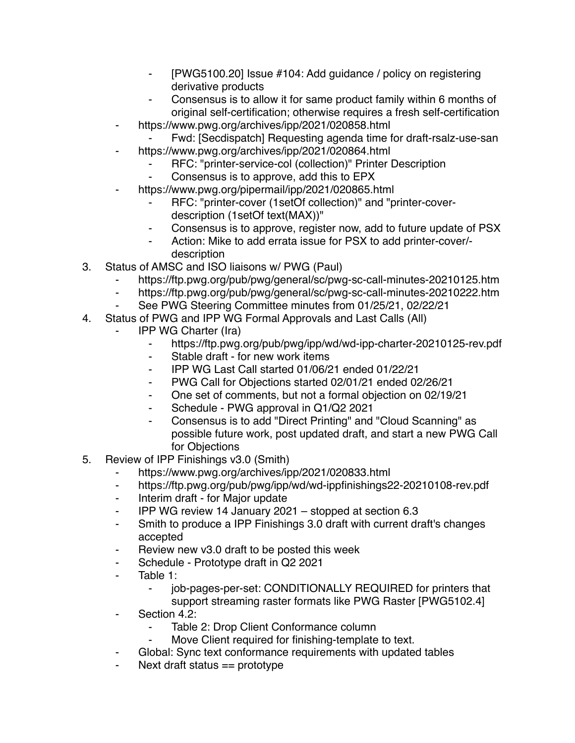- ⁃ [PWG5100.20] Issue #104: Add guidance / policy on registering derivative products
- ⁃ Consensus is to allow it for same product family within 6 months of original self-certification; otherwise requires a fresh self-certification
- ⁃ https://www.pwg.org/archives/ipp/2021/020858.html
	- Fwd: [Secdispatch] Requesting agenda time for draft-rsalz-use-san
	- https://www.pwg.org/archives/ipp/2021/020864.html
		- RFC: "printer-service-col (collection)" Printer Description
		- Consensus is to approve, add this to EPX
- https://www.pwg.org/pipermail/ipp/2021/020865.html
	- ⁃ RFC: "printer-cover (1setOf collection)" and "printer-coverdescription (1setOf text(MAX))"
	- ⁃ Consensus is to approve, register now, add to future update of PSX
	- Action: Mike to add errata issue for PSX to add printer-cover/description
- 3. Status of AMSC and ISO liaisons w/ PWG (Paul)
	- ⁃ https://ftp.pwg.org/pub/pwg/general/sc/pwg-sc-call-minutes-20210125.htm
	- ⁃ https://ftp.pwg.org/pub/pwg/general/sc/pwg-sc-call-minutes-20210222.htm
	- ⁃ See PWG Steering Committee minutes from 01/25/21, 02/22/21
- 4. Status of PWG and IPP WG Formal Approvals and Last Calls (All)
	- **IPP WG Charter (Ira)** 
		- ⁃ https://ftp.pwg.org/pub/pwg/ipp/wd/wd-ipp-charter-20210125-rev.pdf
		- Stable draft for new work items
		- ⁃ IPP WG Last Call started 01/06/21 ended 01/22/21
		- ⁃ PWG Call for Objections started 02/01/21 ended 02/26/21
		- ⁃ One set of comments, but not a formal objection on 02/19/21
		- ⁃ Schedule PWG approval in Q1/Q2 2021
		- ⁃ Consensus is to add "Direct Printing" and "Cloud Scanning" as possible future work, post updated draft, and start a new PWG Call for Objections
- 5. Review of IPP Finishings v3.0 (Smith)
	- ⁃ https://www.pwg.org/archives/ipp/2021/020833.html
	- https://ftp.pwg.org/pub/pwg/ipp/wd/wd-ippfinishings22-20210108-rev.pdf
	- ⁃ Interim draft for Major update
	- ⁃ IPP WG review 14 January 2021 stopped at section 6.3
	- ⁃ Smith to produce a IPP Finishings 3.0 draft with current draft's changes accepted
	- Review new v3.0 draft to be posted this week
	- ⁃ Schedule Prototype draft in Q2 2021
	- Table 1:
		- ⁃ job-pages-per-set: CONDITIONALLY REQUIRED for printers that support streaming raster formats like PWG Raster [PWG5102.4]
	- Section 4.2:
		- Table 2: Drop Client Conformance column
		- Move Client required for finishing-template to text.
	- Global: Sync text conformance requirements with updated tables
	- Next draft status  $==$  prototype